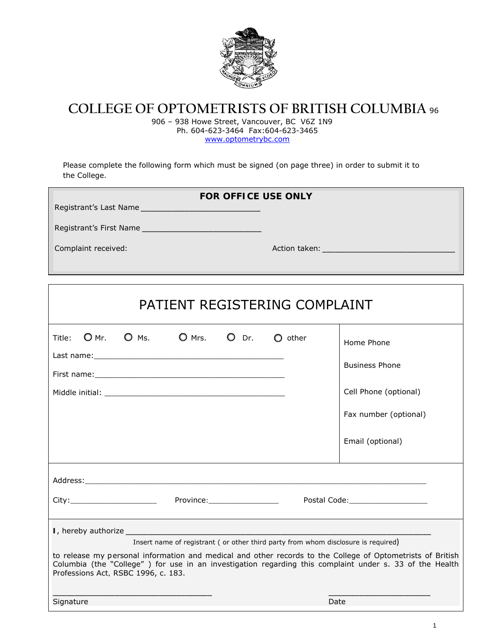

## **COLLEGE OF OPTOMETRISTS OF BRITISH COLUMBIA** <sup>96</sup>

906 – 938 Howe Street, Vancouver, BC V6Z 1N9 Ph. 604-623-3464 Fax:604-623-3465 www.optometrybc.com

Please complete the following form which must be signed (on page three) in order to submit it to the College.

 $\lceil$ 

| <b>FOR OFFICE USE ONLY</b> |               |  |
|----------------------------|---------------|--|
| Registrant's Last Name     |               |  |
| Registrant's First Name    |               |  |
| Complaint received:        | Action taken: |  |

| PATIENT REGISTERING COMPLAINT                                                                                                                                                                                                                                                                                                                                                  |  |                 |         |                  |                                                                                                                                                                                                                                                                          |
|--------------------------------------------------------------------------------------------------------------------------------------------------------------------------------------------------------------------------------------------------------------------------------------------------------------------------------------------------------------------------------|--|-----------------|---------|------------------|--------------------------------------------------------------------------------------------------------------------------------------------------------------------------------------------------------------------------------------------------------------------------|
| $OMr.$ O Ms.<br>Title:                                                                                                                                                                                                                                                                                                                                                         |  | $\bigcirc$ Mrs. | $O$ Dr. | $\bigcirc$ other | Home Phone<br><b>Business Phone</b><br>Cell Phone (optional)<br>Fax number (optional)<br>Email (optional)                                                                                                                                                                |
| City: City: City: City: City: City: City: City: City: City: City: City: City: City: City: City: City: City: City: City: City: City: City: City: City: City: City: City: City: City: City: City: City: City: City: City: City:                                                                                                                                                  |  |                 |         |                  | Address: Andreas Address: Address: Address: Address: Address: Address: Address: Address: Address: Address: Address: Address: Address: Address: Address: Address: Address: Address: Address: Address: Address: Address: Address<br>Postal Code: The Contract of the Code: |
| Insert name of registrant ( or other third party from whom disclosure is required)<br>to release my personal information and medical and other records to the College of Optometrists of British<br>Columbia (the "College") for use in an investigation regarding this complaint under s. 33 of the <i>Health</i><br>Professions Act, RSBC 1996, c. 183.<br>Date<br>Signature |  |                 |         |                  |                                                                                                                                                                                                                                                                          |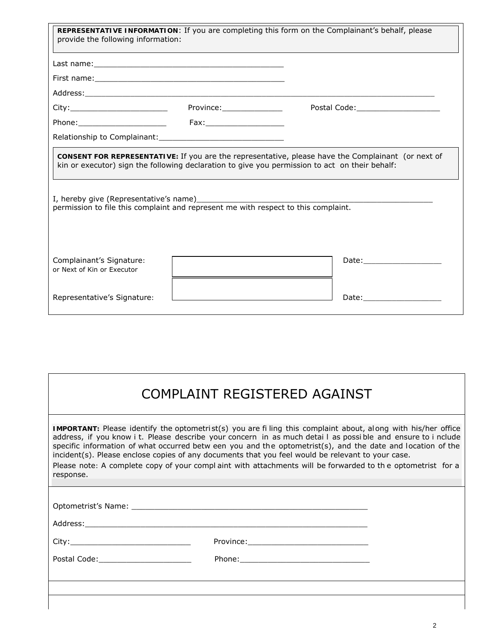| REPRESENTATIVE INFORMATION: If you are completing this form on the Complainant's behalf, please<br>provide the following information:                                                                                                                                                                                                                                                                        |                           |  |                                     |  |  |
|--------------------------------------------------------------------------------------------------------------------------------------------------------------------------------------------------------------------------------------------------------------------------------------------------------------------------------------------------------------------------------------------------------------|---------------------------|--|-------------------------------------|--|--|
|                                                                                                                                                                                                                                                                                                                                                                                                              |                           |  |                                     |  |  |
|                                                                                                                                                                                                                                                                                                                                                                                                              |                           |  |                                     |  |  |
| Address: Andreas Address: Address: Address: Address: Address: Address: Address: Address: Address: Address: Address: Address: Address: Address: Address: Address: Address: Address: Address: Address: Address: Address: Address                                                                                                                                                                               |                           |  |                                     |  |  |
|                                                                                                                                                                                                                                                                                                                                                                                                              | Province:________________ |  | Postal Code: ______________________ |  |  |
|                                                                                                                                                                                                                                                                                                                                                                                                              |                           |  |                                     |  |  |
|                                                                                                                                                                                                                                                                                                                                                                                                              |                           |  |                                     |  |  |
| CONSENT FOR REPRESENTATIVE: If you are the representative, please have the Complainant (or next of<br>kin or executor) sign the following declaration to give you permission to act on their behalf:<br>I, hereby give (Representative's name) [2001] [2012] [2012] [2012] [2012] [2012] [2012] [2012] [2012] [2012] [<br>permission to file this complaint and represent me with respect to this complaint. |                           |  |                                     |  |  |
| Complainant's Signature:<br>or Next of Kin or Executor                                                                                                                                                                                                                                                                                                                                                       |                           |  |                                     |  |  |
| Representative's Signature:                                                                                                                                                                                                                                                                                                                                                                                  |                           |  | Date: _____________________         |  |  |

## COMPLAINT REGISTERED AGAINST

**IMPORTANT:** Please identify the optometri st(s) you are fi ling this complaint about, al ong with his/her office address, if you know i t. Please describe your concern in as much detai l as possi ble and ensure to i nclude specific information of what occurred betw een you and the optometrist(s), and the date and location of the incident(s). Please enclose copies of any documents that you feel would be relevant to your case.

Please note: A complete copy of your compl aint with attachments will be forwarded to th e optometrist for a response.

| Optometrist's Name: |           |
|---------------------|-----------|
| Address:            |           |
| City ·              | Province: |

Postal Code:\_\_\_\_\_\_\_\_\_\_\_\_\_\_\_\_\_\_\_\_ Phone:\_\_\_\_\_\_\_\_\_\_\_\_\_\_\_\_\_\_\_\_\_\_\_\_\_\_\_\_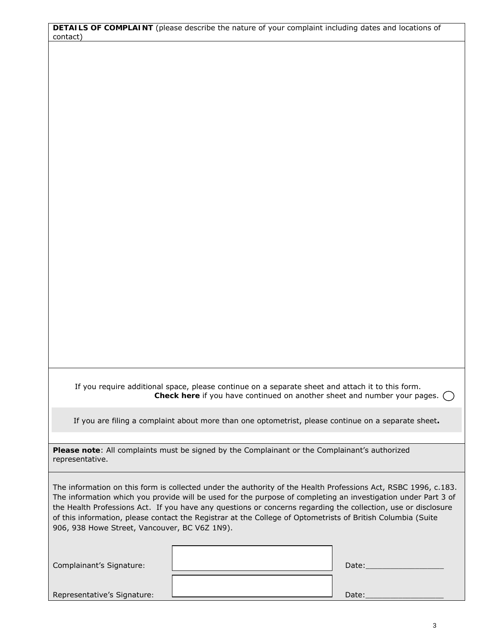**DETAILS OF COMPLAINT** (please describe the nature of your complaint including dates and locations of contact)

 If you require additional space, please continue on a separate sheet and attach it to this form. **Check here** if you have continued on another sheet and number your pages.  $\bigcap$ 

If you are filing a complaint about more than one optometrist, please continue on a separate sheet**.** 

**Please note**: All complaints must be signed by the Complainant or the Complainant's authorized representative.

The information on this form is collected under the authority of the *Health Professions Act*, RSBC 1996, c.183. The information which you provide will be used for the purpose of completing an investigation under Part 3 of the *Health Professions Act*. If you have any questions or concerns regarding the collection, use or disclosure of this information, please contact the Registrar at the College of Optometrists of British Columbia (Suite 906, 938 Howe Street, Vancouver, BC V6Z 1N9).

| Complainant's Signature:    | Date: |
|-----------------------------|-------|
| Representative's Signature: | Date: |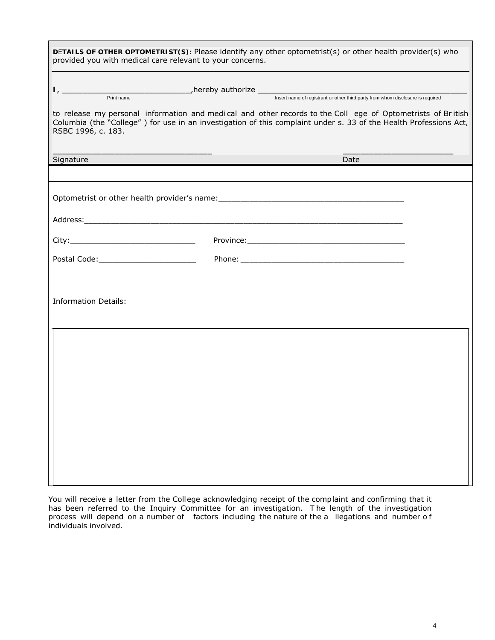|                             | provided you with medical care relevant to your concerns. | DETAILS OF OTHER OPTOMETRIST(S): Please identify any other optometrist(s) or other health provider(s) who                                                                                                                        |  |
|-----------------------------|-----------------------------------------------------------|----------------------------------------------------------------------------------------------------------------------------------------------------------------------------------------------------------------------------------|--|
| RSBC 1996, c. 183.          |                                                           | to release my personal information and medical and other records to the Coll ege of Optometrists of British<br>Columbia (the "College") for use in an investigation of this complaint under s. 33 of the Health Professions Act, |  |
| Signature                   |                                                           | Date                                                                                                                                                                                                                             |  |
|                             |                                                           | Optometrist or other health provider's name: entitled and all the control of the control of the control of the                                                                                                                   |  |
|                             |                                                           |                                                                                                                                                                                                                                  |  |
|                             |                                                           |                                                                                                                                                                                                                                  |  |
| <b>Information Details:</b> |                                                           |                                                                                                                                                                                                                                  |  |
|                             |                                                           |                                                                                                                                                                                                                                  |  |
|                             |                                                           |                                                                                                                                                                                                                                  |  |
|                             |                                                           |                                                                                                                                                                                                                                  |  |
|                             |                                                           |                                                                                                                                                                                                                                  |  |
|                             |                                                           |                                                                                                                                                                                                                                  |  |

You will receive a letter from the College acknowledging receipt of the complaint and confirming that it has been referred to the Inquiry Committee for an investigation. T he length of the investigation process will depend on a number of factors including the nature of the a llegations and number of individuals involved.